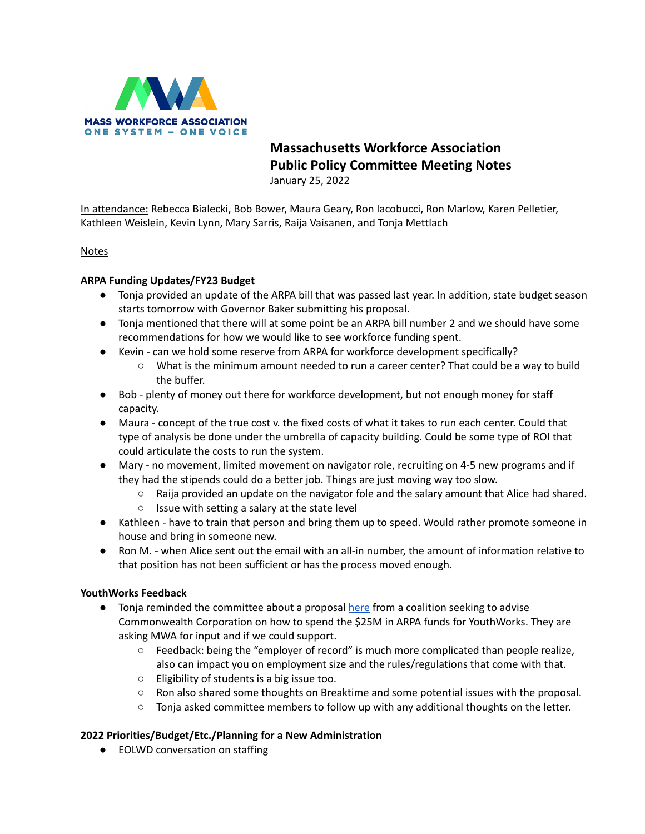

## **Massachusetts Workforce Association Public Policy Committee Meeting Notes** January 25, 2022

In attendance: Rebecca Bialecki, Bob Bower, Maura Geary, Ron Iacobucci, Ron Marlow, Karen Pelletier, Kathleen Weislein, Kevin Lynn, Mary Sarris, Raija Vaisanen, and Tonja Mettlach

Notes

## **ARPA Funding Updates/FY23 Budget**

- Tonja provided an update of the ARPA bill that was passed last year. In addition, state budget season starts tomorrow with Governor Baker submitting his proposal.
- Tonja mentioned that there will at some point be an ARPA bill number 2 and we should have some recommendations for how we would like to see workforce funding spent.
- Kevin can we hold some reserve from ARPA for workforce development specifically?
	- What is the minimum amount needed to run a career center? That could be a way to build the buffer.
- Bob plenty of money out there for workforce development, but not enough money for staff capacity.
- Maura concept of the true cost v. the fixed costs of what it takes to run each center. Could that type of analysis be done under the umbrella of capacity building. Could be some type of ROI that could articulate the costs to run the system.
- Mary no movement, limited movement on navigator role, recruiting on 4-5 new programs and if they had the stipends could do a better job. Things are just moving way too slow.
	- $\circ$  Raija provided an update on the navigator fole and the salary amount that Alice had shared.
	- Issue with setting a salary at the state level
- Kathleen have to train that person and bring them up to speed. Would rather promote someone in house and bring in someone new.
- Ron M. when Alice sent out the email with an all-in number, the amount of information relative to that position has not been sufficient or has the process moved enough.

## **YouthWorks Feedback**

- Tonja reminded the committee about a proposal [here](https://docs.google.com/document/d/1l1O6c8DF79oeBqIHxPP2SRl-I4LeelSd2ffDuBnzGMY/edit) from a coalition seeking to advise Commonwealth Corporation on how to spend the \$25M in ARPA funds for YouthWorks. They are asking MWA for input and if we could support.
	- Feedback: being the "employer of record" is much more complicated than people realize, also can impact you on employment size and the rules/regulations that come with that.
	- Eligibility of students is a big issue too.
	- Ron also shared some thoughts on Breaktime and some potential issues with the proposal.
	- Tonja asked committee members to follow up with any additional thoughts on the letter.

## **2022 Priorities/Budget/Etc./Planning for a New Administration**

● EOLWD conversation on staffing